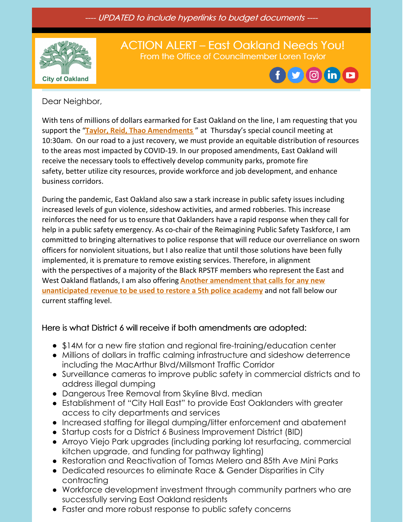---- UPDATED to include hyperlinks to budget documents ----



# ACTION ALERT – East Oakland Needs You! From the Office of Councilmember Loren Taylor



#### Dear Neighbor,

With tens of millions of dollars earmarked for East Oakland on the line, I am requesting that you support the "**Taylor, Reid, Thao [Amendments](https://oakland.legistar.com/View.ashx?M=F&ID=9505238&GUID=89D2A01B-7FD4-49E7-82C6-F73271BFDB91)** " at Thursday's special council meeting at 10:30am. On our road to a just recovery, we must provide an equitable distribution of resources to the areas most impacted by COVID-19. In our proposed amendments, East Oakland will receive the necessary tools to effectively develop community parks, promote fire safety, better utilize city resources, provide workforce and job development, and enhance business corridors.

During the pandemic, East Oakland also saw a stark increase in public safety issues including increased levels of gun violence, sideshow activities, and armed robberies. This increase reinforces the need for us to ensure that Oaklanders have a rapid response when they call for help in a public safety emergency. As co-chair of the Reimagining Public Safety Taskforce, I am committed to bringing alternatives to police response that will reduce our overreliance on sworn officers for nonviolent situations, but I also realize that until those solutions have been fully implemented, it is premature to remove existing services. Therefore, in alignment with the perspectives of a majority of the Black RPSTF members who represent the East and West Oakland flatlands, I am also offering **Another [amendment](https://oakland.legistar.com/View.ashx?M=F&ID=9505240&GUID=2B8CD3F4-356B-45A0-897D-B4A1471236FF) that calls for any new unanticipated revenue to be used to restore a 5th police academy** and not fall below our current staffing level.

### Here is what District 6 will receive if both amendments are adopted:

- \$14M for a new fire station and regional fire-training/education center
- Millions of dollars in traffic calming infrastructure and sideshow deterrence including the MacArthur Blvd/Millsmont Traffic Corridor
- Surveillance cameras to improve public safety in commercial districts and to address illegal dumping
- Dangerous Tree Removal from Skyline Blvd. median
- Establishment of "City Hall East" to provide East Oaklanders with greater access to city departments and services
- Increased staffing for illegal dumping/litter enforcement and abatement
- Startup costs for a District 6 Business Improvement District (BID)
- Arroyo Viejo Park upgrades (including parking lot resurfacing, commercial kitchen upgrade, and funding for pathway lighting)
- Restoration and Reactivation of Tomas Melero and 85th Ave Mini Parks
- Dedicated resources to eliminate Race & Gender Disparities in City contracting
- Workforce development investment through community partners who are successfully serving East Oakland residents
- Faster and more robust response to public safety concerns